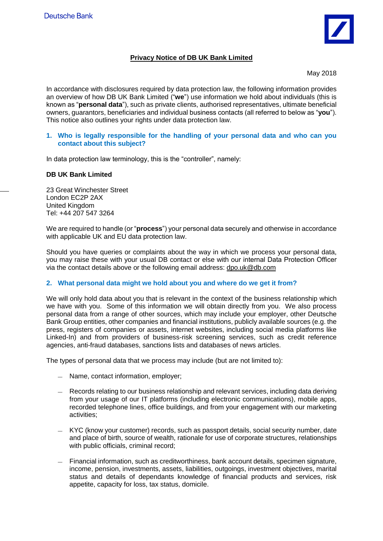

# **Privacy Notice of DB UK Bank Limited**

May 2018

In accordance with disclosures required by data protection law, the following information provides an overview of how DB UK Bank Limited ("**we**") use information we hold about individuals (this is known as "**personal data**"), such as private clients, authorised representatives, ultimate beneficial owners, guarantors, beneficiaries and individual business contacts (all referred to below as "**you**"). This notice also outlines your rights under data protection law.

### **1. Who is legally responsible for the handling of your personal data and who can you contact about this subject?**

In data protection law terminology, this is the "controller", namely:

## **DB UK Bank Limited**

23 Great Winchester Street London EC2P 2AX United Kingdom Tel: +44 207 547 3264

We are required to handle (or "**process**") your personal data securely and otherwise in accordance with applicable UK and EU data protection law.

Should you have queries or complaints about the way in which we process your personal data, you may raise these with your usual DB contact or else with our internal Data Protection Officer via the contact details above or the following email address: dpo.uk@db.com

### **2. What personal data might we hold about you and where do we get it from?**

We will only hold data about you that is relevant in the context of the business relationship which we have with you. Some of this information we will obtain directly from you. We also process personal data from a range of other sources, which may include your employer, other Deutsche Bank Group entities, other companies and financial institutions, publicly available sources (e.g. the press, registers of companies or assets, internet websites, including social media platforms like Linked-In) and from providers of business-risk screening services, such as credit reference agencies, anti-fraud databases, sanctions lists and databases of news articles.

The types of personal data that we process may include (but are not limited to):

- Name, contact information, employer;
- Records relating to our business relationship and relevant services, including data deriving from your usage of our IT platforms (including electronic communications), mobile apps, recorded telephone lines, office buildings, and from your engagement with our marketing activities;
- KYC (know your customer) records, such as passport details, social security number, date and place of birth, source of wealth, rationale for use of corporate structures, relationships with public officials, criminal record;
- Financial information, such as creditworthiness, bank account details, specimen signature, income, pension, investments, assets, liabilities, outgoings, investment objectives, marital status and details of dependants knowledge of financial products and services, risk appetite, capacity for loss, tax status, domicile.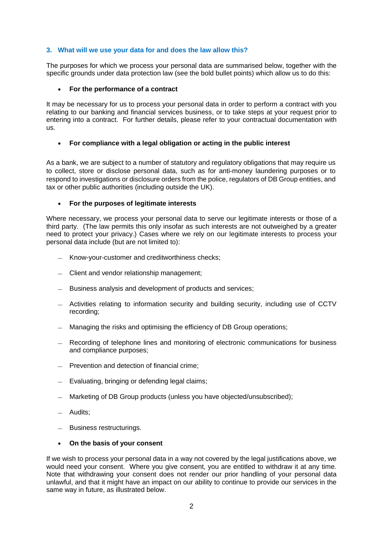## **3. What will we use your data for and does the law allow this?**

The purposes for which we process your personal data are summarised below, together with the specific grounds under data protection law (see the bold bullet points) which allow us to do this:

### **For the performance of a contract**

It may be necessary for us to process your personal data in order to perform a contract with you relating to our banking and financial services business, or to take steps at your request prior to entering into a contract. For further details, please refer to your contractual documentation with us.

## **For compliance with a legal obligation or acting in the public interest**

As a bank, we are subject to a number of statutory and regulatory obligations that may require us to collect, store or disclose personal data, such as for anti-money laundering purposes or to respond to investigations or disclosure orders from the police, regulators of DB Group entities, and tax or other public authorities (including outside the UK).

## **For the purposes of legitimate interests**

Where necessary, we process your personal data to serve our legitimate interests or those of a third party. (The law permits this only insofar as such interests are not outweighed by a greater need to protect your privacy.) Cases where we rely on our legitimate interests to process your personal data include (but are not limited to):

- Know-your-customer and creditworthiness checks;
- Client and vendor relationship management;
- Business analysis and development of products and services;
- Activities relating to information security and building security, including use of CCTV recording;
- Managing the risks and optimising the efficiency of DB Group operations;
- Recording of telephone lines and monitoring of electronic communications for business and compliance purposes;
- Prevention and detection of financial crime;
- Evaluating, bringing or defending legal claims;
- Marketing of DB Group products (unless you have objected/unsubscribed);
- Audits;
- Business restructurings.

### **On the basis of your consent**

If we wish to process your personal data in a way not covered by the legal justifications above, we would need your consent. Where you give consent, you are entitled to withdraw it at any time. Note that withdrawing your consent does not render our prior handling of your personal data unlawful, and that it might have an impact on our ability to continue to provide our services in the same way in future, as illustrated below.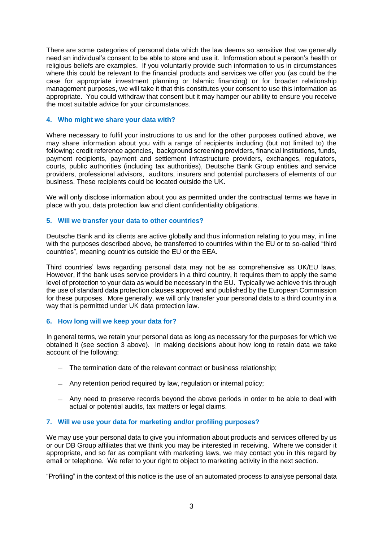There are some categories of personal data which the law deems so sensitive that we generally need an individual's consent to be able to store and use it. Information about a person's health or religious beliefs are examples. If you voluntarily provide such information to us in circumstances where this could be relevant to the financial products and services we offer you (as could be the case for appropriate investment planning or Islamic financing) or for broader relationship management purposes, we will take it that this constitutes your consent to use this information as appropriate. You could withdraw that consent but it may hamper our ability to ensure you receive the most suitable advice for your circumstances.

#### **4. Who might we share your data with?**

Where necessary to fulfil your instructions to us and for the other purposes outlined above, we may share information about you with a range of recipients including (but not limited to) the following: credit reference agencies, background screening providers, financial institutions, funds, payment recipients, payment and settlement infrastructure providers, exchanges, regulators, courts, public authorities (including tax authorities), Deutsche Bank Group entities and service providers, professional advisors, auditors, insurers and potential purchasers of elements of our business. These recipients could be located outside the UK.

We will only disclose information about you as permitted under the contractual terms we have in place with you, data protection law and client confidentiality obligations.

#### **5. Will we transfer your data to other countries?**

Deutsche Bank and its clients are active globally and thus information relating to you may, in line with the purposes described above, be transferred to countries within the EU or to so-called "third countries", meaning countries outside the EU or the EEA.

Third countries' laws regarding personal data may not be as comprehensive as UK/EU laws. However, if the bank uses service providers in a third country, it requires them to apply the same level of protection to your data as would be necessary in the EU. Typically we achieve this through the use of standard data protection clauses approved and published by the European Commission for these purposes. More generally, we will only transfer your personal data to a third country in a way that is permitted under UK data protection law.

#### **6. How long will we keep your data for?**

In general terms, we retain your personal data as long as necessary for the purposes for which we obtained it (see section 3 above). In making decisions about how long to retain data we take account of the following:

- The termination date of the relevant contract or business relationship;
- Any retention period required by law, regulation or internal policy;
- Any need to preserve records beyond the above periods in order to be able to deal with actual or potential audits, tax matters or legal claims.

### **7. Will we use your data for marketing and/or profiling purposes?**

We may use your personal data to give you information about products and services offered by us or our DB Group affiliates that we think you may be interested in receiving. Where we consider it appropriate, and so far as compliant with marketing laws, we may contact you in this regard by email or telephone. We refer to your right to object to marketing activity in the next section.

"Profiling" in the context of this notice is the use of an automated process to analyse personal data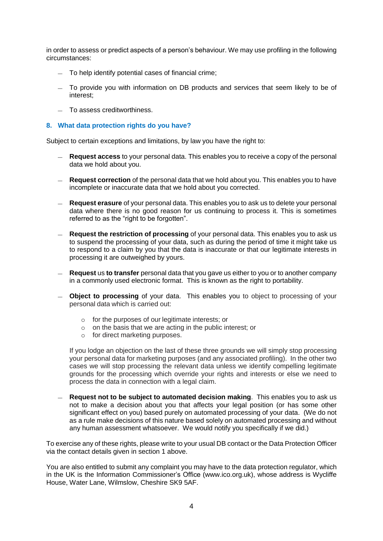in order to assess or predict aspects of a person's behaviour. We may use profiling in the following circumstances:

- To help identify potential cases of financial crime;
- To provide you with information on DB products and services that seem likely to be of interest;
- To assess creditworthiness.

## **8. What data protection rights do you have?**

Subject to certain exceptions and limitations, by law you have the right to:

- **Request access** to your personal data. This enables you to receive a copy of the personal data we hold about you.
- **Request correction** of the personal data that we hold about you. This enables you to have incomplete or inaccurate data that we hold about you corrected.
- **Request erasure** of your personal data. This enables you to ask us to delete your personal data where there is no good reason for us continuing to process it. This is sometimes referred to as the "right to be forgotten".
- **Request the restriction of processing** of your personal data. This enables you to ask us to suspend the processing of your data, such as during the period of time it might take us to respond to a claim by you that the data is inaccurate or that our legitimate interests in processing it are outweighed by yours.
- **Request** us **to transfer** personal data that you gave us either to you or to another company in a commonly used electronic format. This is known as the right to portability.
- **Object to processing** of your data. This enables you to object to processing of your personal data which is carried out:
	- o for the purposes of our legitimate interests; or
	- o on the basis that we are acting in the public interest; or
	- o for direct marketing purposes.

If you lodge an objection on the last of these three grounds we will simply stop processing your personal data for marketing purposes (and any associated profiling). In the other two cases we will stop processing the relevant data unless we identify compelling legitimate grounds for the processing which override your rights and interests or else we need to process the data in connection with a legal claim.

— **Request not to be subject to automated decision making**. This enables you to ask us not to make a decision about you that affects your legal position (or has some other significant effect on you) based purely on automated processing of your data. (We do not as a rule make decisions of this nature based solely on automated processing and without any human assessment whatsoever. We would notify you specifically if we did.)

To exercise any of these rights, please write to your usual DB contact or the Data Protection Officer via the contact details given in section 1 above.

You are also entitled to submit any complaint you may have to the data protection regulator, which in the UK is the Information Commissioner's Office (www.ico.org.uk), whose address is Wycliffe House, Water Lane, Wilmslow, Cheshire SK9 5AF.